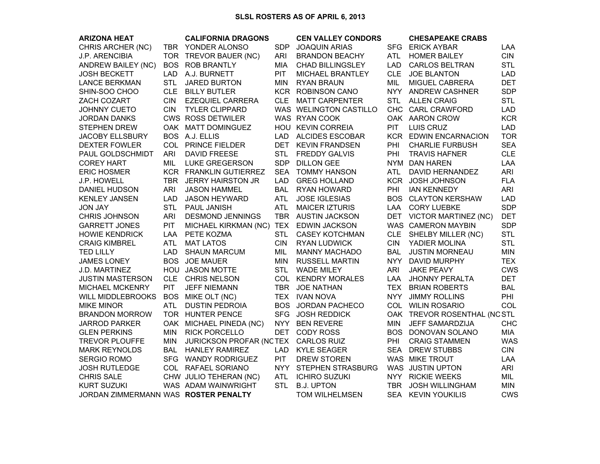## **SLSL ROSTERS AS OF APRIL 6, 2013**

| <b>ARIZONA HEAT</b>                  |            | <b>CALIFORNIA DRAGONS</b>              |            | <b>CEN VALLEY CONDORS</b> |            | <b>CHESAPEAKE CRABS</b>      |            |
|--------------------------------------|------------|----------------------------------------|------------|---------------------------|------------|------------------------------|------------|
| CHRIS ARCHER (NC)                    |            | TBR YONDER ALONSO                      | <b>SDP</b> | <b>JOAQUIN ARIAS</b>      |            | SFG ERICK AYBAR              | LAA        |
| J.P. ARENCIBIA                       | TOR.       | TREVOR BAUER (NC)                      | <b>ARI</b> | <b>BRANDON BEACHY</b>     | <b>ATL</b> | <b>HOMER BAILEY</b>          | <b>CIN</b> |
| <b>ANDREW BAILEY (NC)</b>            | <b>BOS</b> | <b>ROB BRANTLY</b>                     | <b>MIA</b> | <b>CHAD BILLINGSLEY</b>   | <b>LAD</b> | <b>CARLOS BELTRAN</b>        | <b>STL</b> |
| <b>JOSH BECKETT</b>                  | <b>LAD</b> | A.J. BURNETT                           | PIT        | MICHAEL BRANTLEY          | <b>CLE</b> | <b>JOE BLANTON</b>           | <b>LAD</b> |
| <b>LANCE BERKMAN</b>                 | <b>STL</b> | <b>JARED BURTON</b>                    | <b>MIN</b> | RYAN BRAUN                | MIL        | MIGUEL CABRERA               | <b>DET</b> |
| SHIN-SOO CHOO                        |            | CLE BILLY BUTLER                       |            | <b>KCR ROBINSON CANO</b>  |            | NYY ANDREW CASHNER           | <b>SDP</b> |
| ZACH COZART                          | <b>CIN</b> | <b>EZEQUIEL CARRERA</b>                |            | CLE MATT CARPENTER        | <b>STL</b> | <b>ALLEN CRAIG</b>           | <b>STL</b> |
| <b>JOHNNY CUETO</b>                  | <b>CIN</b> | <b>TYLER CLIPPARD</b>                  |            | WAS WELINGTON CASTILLO    |            | CHC CARL CRAWFORD            | <b>LAD</b> |
| JORDAN DANKS                         |            | <b>CWS ROSS DETWILER</b>               |            | WAS RYAN COOK             |            | OAK AARON CROW               | <b>KCR</b> |
| <b>STEPHEN DREW</b>                  |            | OAK MATT DOMINGUEZ                     |            | HOU KEVIN CORREIA         | <b>PIT</b> | LUIS CRUZ                    | <b>LAD</b> |
| <b>JACOBY ELLSBURY</b>               |            | BOS A.J. ELLIS                         | <b>LAD</b> | <b>ALCIDES ESCOBAR</b>    |            | <b>KCR EDWIN ENCARNACION</b> | <b>TOR</b> |
| <b>DEXTER FOWLER</b>                 |            | COL PRINCE FIELDER                     |            | DET KEVIN FRANDSEN        | PHI        | <b>CHARLIE FURBUSH</b>       | <b>SEA</b> |
| PAUL GOLDSCHMIDT                     | <b>ARI</b> | <b>DAVID FREESE</b>                    | <b>STL</b> | <b>FREDDY GALVIS</b>      | PHI        | <b>TRAVIS HAFNER</b>         | <b>CLE</b> |
| <b>COREY HART</b>                    | MIL        | <b>LUKE GREGERSON</b>                  |            | SDP DILLON GEE            |            | NYM DAN HAREN                | LAA        |
| <b>ERIC HOSMER</b>                   |            | KCR FRANKLIN GUTIERREZ                 | <b>SEA</b> | <b>TOMMY HANSON</b>       | ATL.       | DAVID HERNANDEZ              | <b>ARI</b> |
| J.P. HOWELL                          | <b>TBR</b> | <b>JERRY HAIRSTON JR</b>               | <b>LAD</b> | <b>GREG HOLLAND</b>       |            | KCR JOSH JOHNSON             | <b>FLA</b> |
| DANIEL HUDSON                        | <b>ARI</b> | <b>JASON HAMMEL</b>                    | <b>BAL</b> | RYAN HOWARD               | PHI        | <b>IAN KENNEDY</b>           | <b>ARI</b> |
| <b>KENLEY JANSEN</b>                 | <b>LAD</b> | <b>JASON HEYWARD</b>                   | <b>ATL</b> | <b>JOSE IGLESIAS</b>      |            | <b>BOS CLAYTON KERSHAW</b>   | <b>LAD</b> |
| <b>JON JAY</b>                       | <b>STL</b> | <b>PAUL JANISH</b>                     | <b>ATL</b> | <b>MAICER IZTURIS</b>     |            | LAA CORY LUEBKE              | <b>SDP</b> |
| <b>CHRIS JOHNSON</b>                 | <b>ARI</b> | <b>DESMOND JENNINGS</b>                |            | TBR AUSTIN JACKSON        |            | DET VICTOR MARTINEZ (NC)     | <b>DET</b> |
| <b>GARRETT JONES</b>                 | PIT        | MICHAEL KIRKMAN (NC) TEX EDWIN JACKSON |            |                           |            | WAS CAMERON MAYBIN           | <b>SDP</b> |
| <b>HOWIE KENDRICK</b>                | LAA        | PETE KOZMA                             | <b>STL</b> | <b>CASEY KOTCHMAN</b>     |            | CLE SHELBY MILLER (NC)       | <b>STL</b> |
| <b>CRAIG KIMBREL</b>                 | <b>ATL</b> | <b>MAT LATOS</b>                       | <b>CIN</b> | <b>RYAN LUDWICK</b>       | <b>CIN</b> | YADIER MOLINA                | <b>STL</b> |
| <b>TED LILLY</b>                     | <b>LAD</b> | <b>SHAUN MARCUM</b>                    | MIL        | <b>MANNY MACHADO</b>      | <b>BAL</b> | <b>JUSTIN MORNEAU</b>        | <b>MIN</b> |
| <b>JAMES LONEY</b>                   | <b>BOS</b> | <b>JOE MAUER</b>                       | MIN        | <b>RUSSELL MARTIN</b>     | <b>NYY</b> | DAVID MURPHY                 | <b>TEX</b> |
| J.D. MARTINEZ                        |            | HOU JASON MOTTE                        | <b>STL</b> | <b>WADE MILEY</b>         | ARI        | <b>JAKE PEAVY</b>            | <b>CWS</b> |
| <b>JUSTIN MASTERSON</b>              |            | CLE CHRIS NELSON                       |            | COL KENDRY MORALES        | LAA        | <b>JHONNY PERALTA</b>        | <b>DET</b> |
| MICHAEL MCKENRY                      | PIT        | <b>JEFF NIEMANN</b>                    |            | TBR JOE NATHAN            | TEX        | <b>BRIAN ROBERTS</b>         | <b>BAL</b> |
| <b>WILL MIDDLEBROOKS</b>             | <b>BOS</b> | MIKE OLT (NC)                          |            | TEX IVAN NOVA             | <b>NYY</b> | <b>JIMMY ROLLINS</b>         | PHI        |
| <b>MIKE MINOR</b>                    | <b>ATL</b> | <b>DUSTIN PEDROIA</b>                  |            | BOS JORDAN PACHECO        |            | COL WILIN ROSARIO            | COL        |
| <b>BRANDON MORROW</b>                |            | TOR HUNTER PENCE                       | <b>SFG</b> | <b>JOSH REDDICK</b>       |            | OAK TREVOR ROSENTHAL (NC STL |            |
| <b>JARROD PARKER</b>                 |            | OAK MICHAEL PINEDA (NC)                |            | NYY BEN REVERE            | <b>MIN</b> | <b>JEFF SAMARDZIJA</b>       | <b>CHC</b> |
| <b>GLEN PERKINS</b>                  | <b>MIN</b> | <b>RICK PORCELLO</b>                   | <b>DET</b> | <b>CODY ROSS</b>          |            | BOS DONOVAN SOLANO           | <b>MIA</b> |
| <b>TREVOR PLOUFFE</b>                | <b>MIN</b> | <b>JURICKSON PROFAR (NCTEX</b>         |            | <b>CARLOS RUIZ</b>        | <b>PHI</b> | <b>CRAIG STAMMEN</b>         | <b>WAS</b> |
| <b>MARK REYNOLDS</b>                 | BAL        | <b>HANLEY RAMIREZ</b>                  | LAD.       | <b>KYLE SEAGER</b>        | <b>SEA</b> | <b>DREW STUBBS</b>           | <b>CIN</b> |
| <b>SERGIO ROMO</b>                   |            | SFG WANDY RODRIGUEZ                    | <b>PIT</b> | <b>DREW STOREN</b>        |            | WAS MIKE TROUT               | LAA        |
| <b>JOSH RUTLEDGE</b>                 |            | COL RAFAEL SORIANO                     |            | NYY STEPHEN STRASBURG     |            | WAS JUSTIN UPTON             | ARI        |
| <b>CHRIS SALE</b>                    |            | CHW JULIO TEHERAN (NC)                 | <b>ATL</b> | <b>ICHIRO SUZUKI</b>      |            | NYY RICKIE WEEKS             | MIL        |
| <b>KURT SUZUKI</b>                   |            | WAS ADAM WAINWRIGHT                    | <b>STL</b> | <b>B.J. UPTON</b>         |            | TBR JOSH WILLINGHAM          | <b>MIN</b> |
| JORDAN ZIMMERMANN WAS ROSTER PENALTY |            |                                        |            | TOM WILHELMSEN            |            | SEA KEVIN YOUKILIS           | <b>CWS</b> |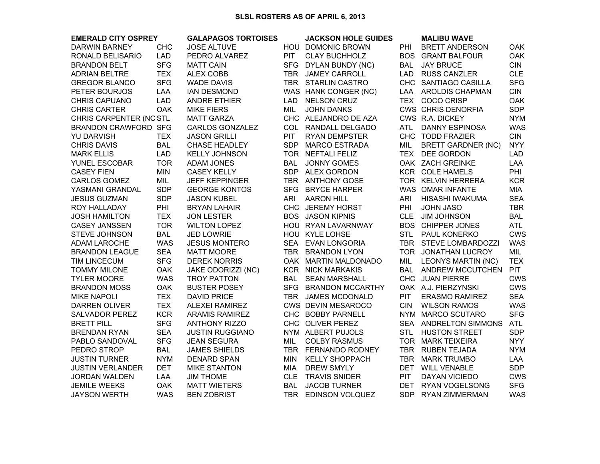| <b>EMERALD CITY OSPREY</b>  |            | <b>GALAPAGOS TORTOISES</b> |            | <b>JACKSON HOLE GUIDES</b> |            | <b>MALIBU WAVE</b>        |            |
|-----------------------------|------------|----------------------------|------------|----------------------------|------------|---------------------------|------------|
| <b>DARWIN BARNEY</b>        | <b>CHC</b> | <b>JOSE ALTUVE</b>         |            | HOU DOMONIC BROWN          | PHI        | <b>BRETT ANDERSON</b>     | <b>OAK</b> |
| RONALD BELISARIO            | <b>LAD</b> | PEDRO ALVAREZ              | <b>PIT</b> | <b>CLAY BUCHHOLZ</b>       | <b>BOS</b> | <b>GRANT BALFOUR</b>      | <b>OAK</b> |
| <b>BRANDON BELT</b>         | <b>SFG</b> | <b>MATT CAIN</b>           |            | SFG DYLAN BUNDY (NC)       | <b>BAL</b> | <b>JAY BRUCE</b>          | <b>CIN</b> |
| <b>ADRIAN BELTRE</b>        | <b>TEX</b> | <b>ALEX COBB</b>           |            | TBR JAMEY CARROLL          |            | LAD RUSS CANZLER          | <b>CLE</b> |
| <b>GREGOR BLANCO</b>        | <b>SFG</b> | <b>WADE DAVIS</b>          |            | TBR STARLIN CASTRO         |            | CHC SANTIAGO CASILLA      | <b>SFG</b> |
| PETER BOURJOS               | LAA        | <b>IAN DESMOND</b>         |            | WAS HANK CONGER (NC)       |            | LAA AROLDIS CHAPMAN       | CIN        |
| <b>CHRIS CAPUANO</b>        | <b>LAD</b> | <b>ANDRE ETHIER</b>        | <b>LAD</b> | <b>NELSON CRUZ</b>         |            | TEX COCO CRISP            | <b>OAK</b> |
| <b>CHRIS CARTER</b>         | <b>OAK</b> | <b>MIKE FIERS</b>          | MIL        | <b>JOHN DANKS</b>          |            | <b>CWS CHRIS DENORFIA</b> | <b>SDP</b> |
| CHRIS CARPENTER (NC STL     |            | <b>MATT GARZA</b>          |            | CHC ALEJANDRO DE AZA       |            | CWS R.A. DICKEY           | <b>NYM</b> |
| <b>BRANDON CRAWFORD SFG</b> |            | CARLOS GONZALEZ            |            | COL RANDALL DELGADO        | ATL        | <b>DANNY ESPINOSA</b>     | <b>WAS</b> |
| <b>YU DARVISH</b>           | <b>TEX</b> | <b>JASON GRILLI</b>        | PIT        | <b>RYAN DEMPSTER</b>       |            | CHC TODD FRAZIER          | <b>CIN</b> |
| <b>CHRIS DAVIS</b>          | <b>BAL</b> | <b>CHASE HEADLEY</b>       | SDP        | <b>MARCO ESTRADA</b>       | MIL        | <b>BRETT GARDNER (NC)</b> | <b>NYY</b> |
| <b>MARK ELLIS</b>           | <b>LAD</b> | <b>KELLY JOHNSON</b>       |            | TOR NEFTALI FELIZ          |            | TEX DEE GORDON            | <b>LAD</b> |
| YUNEL ESCOBAR               | <b>TOR</b> | <b>ADAM JONES</b>          | <b>BAL</b> | <b>JONNY GOMES</b>         |            | OAK ZACH GREINKE          | LAA        |
| <b>CASEY FIEN</b>           | <b>MIN</b> | <b>CASEY KELLY</b>         |            | SDP ALEX GORDON            |            | KCR COLE HAMELS           | PHI        |
| <b>CARLOS GOMEZ</b>         | MIL        | <b>JEFF KEPPINGER</b>      |            | TBR ANTHONY GOSE           |            | TOR KELVIN HERRERA        | <b>KCR</b> |
| YASMANI GRANDAL             | <b>SDP</b> | <b>GEORGE KONTOS</b>       |            | SFG BRYCE HARPER           |            | WAS OMAR INFANTE          | <b>MIA</b> |
| <b>JESUS GUZMAN</b>         | <b>SDP</b> | <b>JASON KUBEL</b>         | <b>ARI</b> | <b>AARON HILL</b>          | <b>ARI</b> | HISASHI IWAKUMA           | <b>SEA</b> |
| ROY HALLADAY                | PHI        | <b>BRYAN LAHAIR</b>        |            | CHC JEREMY HORST           | PHI        | <b>JOHN JASO</b>          | <b>TBR</b> |
| <b>JOSH HAMILTON</b>        | <b>TEX</b> | <b>JON LESTER</b>          |            | <b>BOS JASON KIPNIS</b>    |            | CLE JIM JOHNSON           | <b>BAL</b> |
| <b>CASEY JANSSEN</b>        | <b>TOR</b> | <b>WILTON LOPEZ</b>        |            | HOU RYAN LAVARNWAY         |            | <b>BOS CHIPPER JONES</b>  | ATL        |
| STEVE JOHNSON               | <b>BAL</b> | <b>JED LOWRIE</b>          |            | HOU KYLE LOHSE             |            | STL PAUL KONERKO          | <b>CWS</b> |
| <b>ADAM LAROCHE</b>         | <b>WAS</b> | <b>JESUS MONTERO</b>       |            | SEA EVAN LONGORIA          |            | TBR STEVE LOMBARDOZZI     | <b>WAS</b> |
| <b>BRANDON LEAGUE</b>       | <b>SEA</b> | <b>MATT MOORE</b>          |            | TBR BRANDON LYON           |            | TOR JONATHAN LUCROY       | MIL        |
| TIM LINCECUM                | <b>SFG</b> | <b>DEREK NORRIS</b>        |            | OAK MARTIN MALDONADO       | MIL        | <b>LEONYS MARTIN (NC)</b> | <b>TEX</b> |
| <b>TOMMY MILONE</b>         | <b>OAK</b> | JAKE ODORIZZI (NC)         |            | <b>KCR NICK MARKAKIS</b>   |            | BAL ANDREW MCCUTCHEN      | <b>PIT</b> |
| <b>TYLER MOORE</b>          | <b>WAS</b> | <b>TROY PATTON</b>         | BAL        | <b>SEAN MARSHALL</b>       |            | CHC JUAN PIERRE           | <b>CWS</b> |
| <b>BRANDON MOSS</b>         | <b>OAK</b> | <b>BUSTER POSEY</b>        |            | SFG BRANDON MCCARTHY       |            | OAK A.J. PIERZYNSKI       | <b>CWS</b> |
| <b>MIKE NAPOLI</b>          | <b>TEX</b> | <b>DAVID PRICE</b>         |            | TBR JAMES MCDONALD         | <b>PIT</b> | <b>ERASMO RAMIREZ</b>     | <b>SEA</b> |
| DARREN OLIVER               | <b>TEX</b> | <b>ALEXEI RAMIREZ</b>      |            | CWS DEVIN MESAROCO         | <b>CIN</b> | <b>WILSON RAMOS</b>       | <b>WAS</b> |
| <b>SALVADOR PEREZ</b>       | <b>KCR</b> | <b>ARAMIS RAMIREZ</b>      |            | CHC BOBBY PARNELL          |            | NYM MARCO SCUTARO         | <b>SFG</b> |
| <b>BRETT PILL</b>           | <b>SFG</b> | <b>ANTHONY RIZZO</b>       |            | CHC OLIVER PEREZ           |            | SEA ANDRELTON SIMMONS     | <b>ATL</b> |
| <b>BRENDAN RYAN</b>         | <b>SEA</b> | <b>JUSTIN RUGGIANO</b>     |            | NYM ALBERT PUJOLS          | <b>STL</b> | <b>HUSTON STREET</b>      | <b>SDP</b> |
| PABLO SANDOVAL              | <b>SFG</b> | <b>JEAN SEGURA</b>         | MIL        | <b>COLBY RASMUS</b>        |            | TOR MARK TEIXEIRA         | <b>NYY</b> |
| PEDRO STROP                 | <b>BAL</b> | <b>JAMES SHIELDS</b>       |            | TBR FERNANDO RODNEY        |            | TBR RUBEN TEJADA          | <b>NYM</b> |
| <b>JUSTIN TURNER</b>        | <b>NYM</b> | <b>DENARD SPAN</b>         | <b>MIN</b> | <b>KELLY SHOPPACH</b>      |            | TBR MARK TRUMBO           | LAA        |
| <b>JUSTIN VERLANDER</b>     | <b>DET</b> | <b>MIKE STANTON</b>        | MIA        | <b>DREW SMYLY</b>          |            | DET WILL VENABLE          | <b>SDP</b> |
| <b>JORDAN WALDEN</b>        | LAA        | <b>JIM THOME</b>           | <b>CLE</b> | <b>TRAVIS SNIDER</b>       | <b>PIT</b> | DAYAN VICIEDO             | <b>CWS</b> |
| <b>JEMILE WEEKS</b>         | <b>OAK</b> | <b>MATT WIETERS</b>        | <b>BAL</b> | <b>JACOB TURNER</b>        |            | DET RYAN VOGELSONG        | <b>SFG</b> |
| <b>JAYSON WERTH</b>         | <b>WAS</b> | <b>BEN ZOBRIST</b>         |            | TBR EDINSON VOLQUEZ        |            | SDP RYAN ZIMMERMAN        | <b>WAS</b> |
|                             |            |                            |            |                            |            |                           |            |